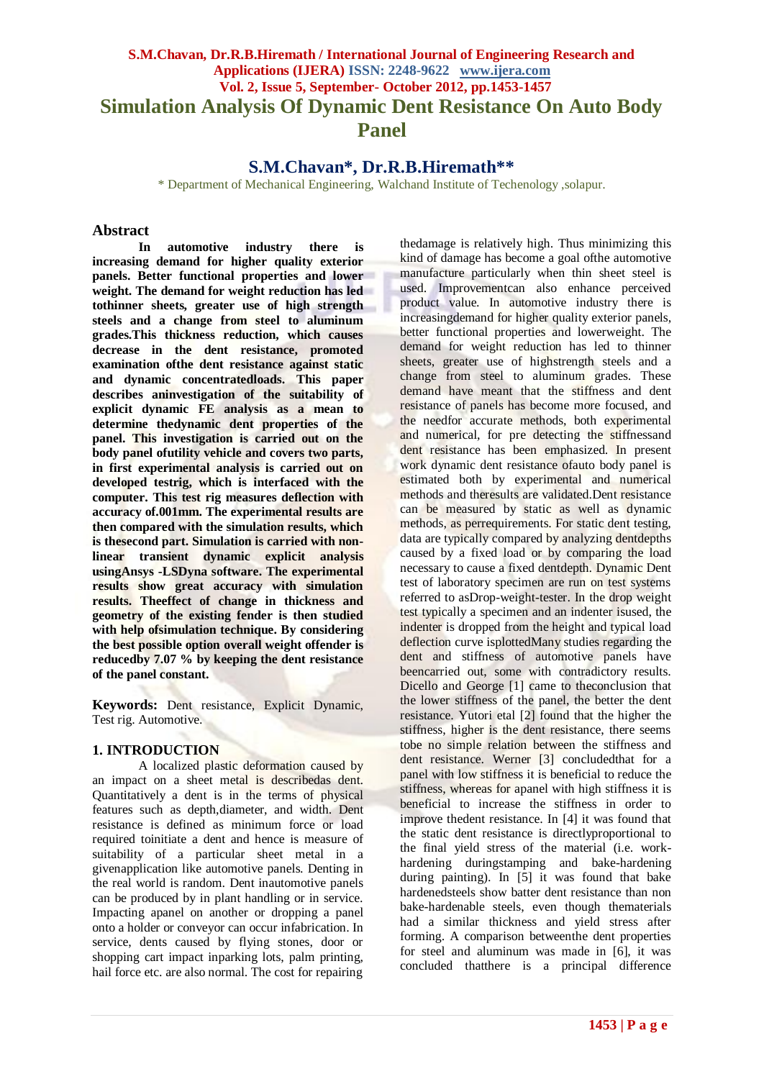# **S.M.Chavan, Dr.R.B.Hiremath / International Journal of Engineering Research and Applications (IJERA) ISSN: 2248-9622 www.ijera.com Vol. 2, Issue 5, September- October 2012, pp.1453-1457 Simulation Analysis Of Dynamic Dent Resistance On Auto Body Panel**

**S.M.Chavan\*, Dr.R.B.Hiremath\*\***

\* Department of Mechanical Engineering, Walchand Institute of Techenology ,solapur.

#### **Abstract**

**In automotive industry there is increasing demand for higher quality exterior panels. Better functional properties and lower weight. The demand for weight reduction has led tothinner sheets, greater use of high strength steels and a change from steel to aluminum grades.This thickness reduction, which causes decrease in the dent resistance, promoted examination ofthe dent resistance against static and dynamic concentratedloads. This paper describes aninvestigation of the suitability of explicit dynamic FE analysis as a mean to determine thedynamic dent properties of the panel. This investigation is carried out on the body panel ofutility vehicle and covers two parts, in first experimental analysis is carried out on developed testrig, which is interfaced with the computer. This test rig measures deflection with accuracy of.001mm. The experimental results are then compared with the simulation results, which is thesecond part. Simulation is carried with nonlinear transient dynamic explicit analysis usingAnsys -LSDyna software. The experimental results show great accuracy with simulation results. Theeffect of change in thickness and geometry of the existing fender is then studied with help ofsimulation technique. By considering the best possible option overall weight offender is reducedby 7.07 % by keeping the dent resistance of the panel constant.**

**Keywords:** Dent resistance, Explicit Dynamic, Test rig. Automotive.

## **1. INTRODUCTION**

A localized plastic deformation caused by an impact on a sheet metal is describedas dent. Quantitatively a dent is in the terms of physical features such as depth,diameter, and width. Dent resistance is defined as minimum force or load required toinitiate a dent and hence is measure of suitability of a particular sheet metal in a givenapplication like automotive panels. Denting in the real world is random. Dent inautomotive panels can be produced by in plant handling or in service. Impacting apanel on another or dropping a panel onto a holder or conveyor can occur infabrication. In service, dents caused by flying stones, door or shopping cart impact inparking lots, palm printing, hail force etc. are also normal. The cost for repairing

thedamage is relatively high. Thus minimizing this kind of damage has become a goal ofthe automotive manufacture particularly when thin sheet steel is used. Improvementcan also enhance perceived product value. In automotive industry there is increasingdemand for higher quality exterior panels, better functional properties and lowerweight. The demand for weight reduction has led to thinner sheets, greater use of highstrength steels and a change from steel to aluminum grades. These demand have meant that the stiffness and dent resistance of panels has become more focused, and the needfor accurate methods, both experimental and numerical, for pre detecting the stiffnessand dent resistance has been emphasized. In present work dynamic dent resistance of auto body panel is estimated both by experimental and numerical methods and theresults are validated.Dent resistance can be measured by static as well as dynamic methods, as perrequirements. For static dent testing, data are typically compared by analyzing dentdepths caused by a fixed load or by comparing the load necessary to cause a fixed dentdepth. Dynamic Dent test of laboratory specimen are run on test systems referred to asDrop-weight-tester. In the drop weight test typically a specimen and an indenter isused, the indenter is dropped from the height and typical load deflection curve isplottedMany studies regarding the dent and stiffness of automotive panels have beencarried out, some with contradictory results. Dicello and George [1] came to the conclusion that the lower stiffness of the panel, the better the dent resistance. Yutori etal [2] found that the higher the stiffness, higher is the dent resistance, there seems tobe no simple relation between the stiffness and dent resistance. Werner [3] concludedthat for a panel with low stiffness it is beneficial to reduce the stiffness, whereas for apanel with high stiffness it is beneficial to increase the stiffness in order to improve thedent resistance. In [4] it was found that the static dent resistance is directlyproportional to the final yield stress of the material (i.e. workhardening duringstamping and bake-hardening during painting). In  $\overline{5}$  it was found that bake hardenedsteels show batter dent resistance than non bake-hardenable steels, even though thematerials had a similar thickness and yield stress after forming. A comparison betweenthe dent properties for steel and aluminum was made in [6], it was concluded thatthere is a principal difference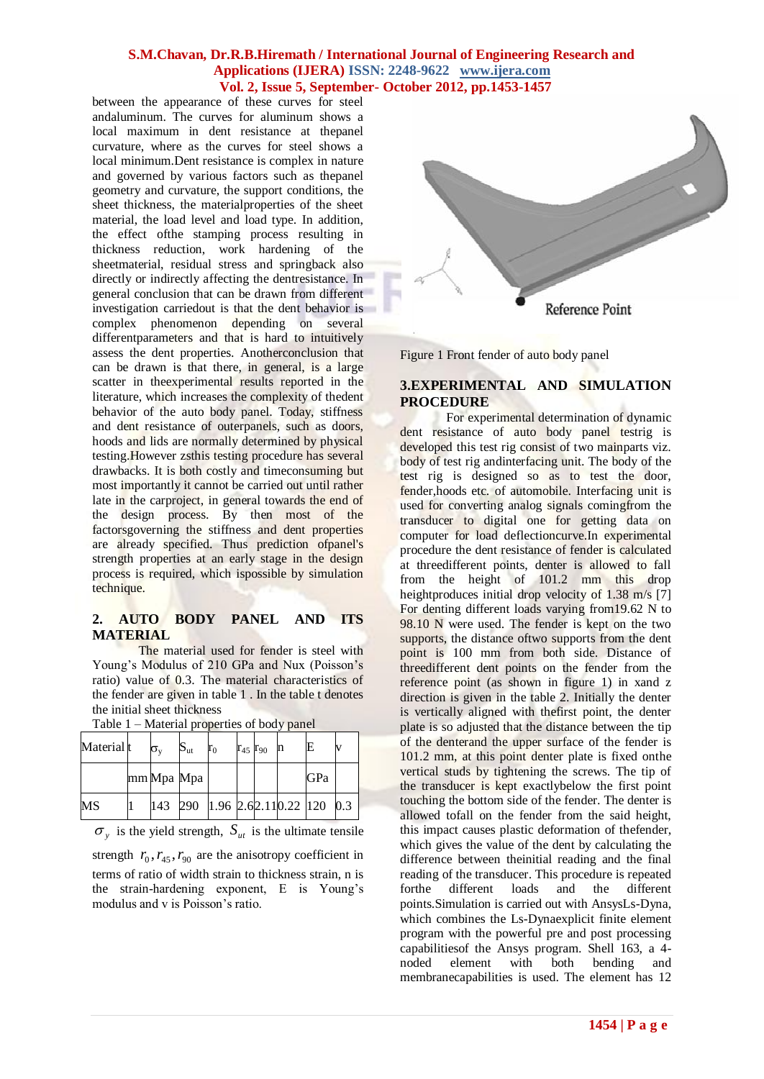between the appearance of these curves for steel andaluminum. The curves for aluminum shows a local maximum in dent resistance at thepanel curvature, where as the curves for steel shows a local minimum.Dent resistance is complex in nature and governed by various factors such as thepanel geometry and curvature, the support conditions, the sheet thickness, the materialproperties of the sheet material, the load level and load type. In addition, the effect ofthe stamping process resulting in thickness reduction, work hardening of the sheetmaterial, residual stress and springback also directly or indirectly affecting the dentresistance. In general conclusion that can be drawn from different investigation carriedout is that the dent behavior is complex phenomenon depending on several differentparameters and that is hard to intuitively assess the dent properties. Anotherconclusion that can be drawn is that there, in general, is a large scatter in theexperimental results reported in the literature, which increases the complexity of thedent behavior of the auto body panel. Today, stiffness and dent resistance of outerpanels, such as doors, hoods and lids are normally determined by physical testing.However zsthis testing procedure has several drawbacks. It is both costly and timeconsuming but most importantly it cannot be carried out until rather late in the carproject, in general towards the end of the design process. By then most of the factorsgoverning the stiffness and dent properties are already specified. Thus prediction ofpanel's strength properties at an early stage in the design process is required, which ispossible by simulation technique.

# **2. AUTO BODY PANEL AND ITS MATERIAL**

The material used for fender is steel with Young's Modulus of 210 GPa and Nux (Poisson's ratio) value of 0.3. The material characteristics of the fender are given in table 1 . In the table t denotes the initial sheet thickness

| Material t | $\sigma_{\rm v}$ | $\mathrm{S}_{\mathrm{ut}}$         | $r_0$ | $r_{45}$ $r_{90}$ | n | Е   |  |
|------------|------------------|------------------------------------|-------|-------------------|---|-----|--|
|            | mm Mpa Mpa       |                                    |       |                   |   | GPa |  |
| <b>MS</b>  |                  | $143$ 290 1.96 2.62.110.22 120 0.3 |       |                   |   |     |  |

Table 1 – Material properties of body panel

 $\sigma_y$  is the yield strength,  $S_{ut}$  is the ultimate tensile

strength  $r_0, r_{45}, r_{90}$  are the anisotropy coefficient in terms of ratio of width strain to thickness strain, n is the strain-hardening exponent, E is Young's modulus and v is Poisson's ratio.



Figure 1 Front fender of auto body panel

## **3.EXPERIMENTAL AND SIMULATION PROCEDURE**

For experimental determination of dynamic dent resistance of auto body panel testrig is developed this test rig consist of two mainparts viz. body of test rig andinterfacing unit. The body of the test rig is designed so as to test the door, fender,hoods etc. of automobile. Interfacing unit is used for converting analog signals comingfrom the transducer to digital one for getting data on computer for load deflectioncurve.In experimental procedure the dent resistance of fender is calculated at threedifferent points, denter is allowed to fall from the height of 101.2 mm this drop heightproduces initial drop velocity of 1.38 m/s [7] For denting different loads varying from19.62 N to 98.10 N were used. The fender is kept on the two supports, the distance of two supports from the dent point is 100 mm from both side. Distance of threedifferent dent points on the fender from the reference point (as shown in figure 1) in xand z direction is given in the table 2. Initially the denter is vertically aligned with thefirst point, the denter plate is so adjusted that the distance between the tip of the denterand the upper surface of the fender is 101.2 mm, at this point denter plate is fixed onthe vertical studs by tightening the screws. The tip of the transducer is kept exactlybelow the first point touching the bottom side of the fender. The denter is allowed tofall on the fender from the said height, this impact causes plastic deformation of thefender, which gives the value of the dent by calculating the difference between theinitial reading and the final reading of the transducer. This procedure is repeated forthe different loads and the different points.Simulation is carried out with AnsysLs-Dyna, which combines the Ls-Dynaexplicit finite element program with the powerful pre and post processing capabilitiesof the Ansys program. Shell 163, a 4 noded element with both bending and membranecapabilities is used. The element has 12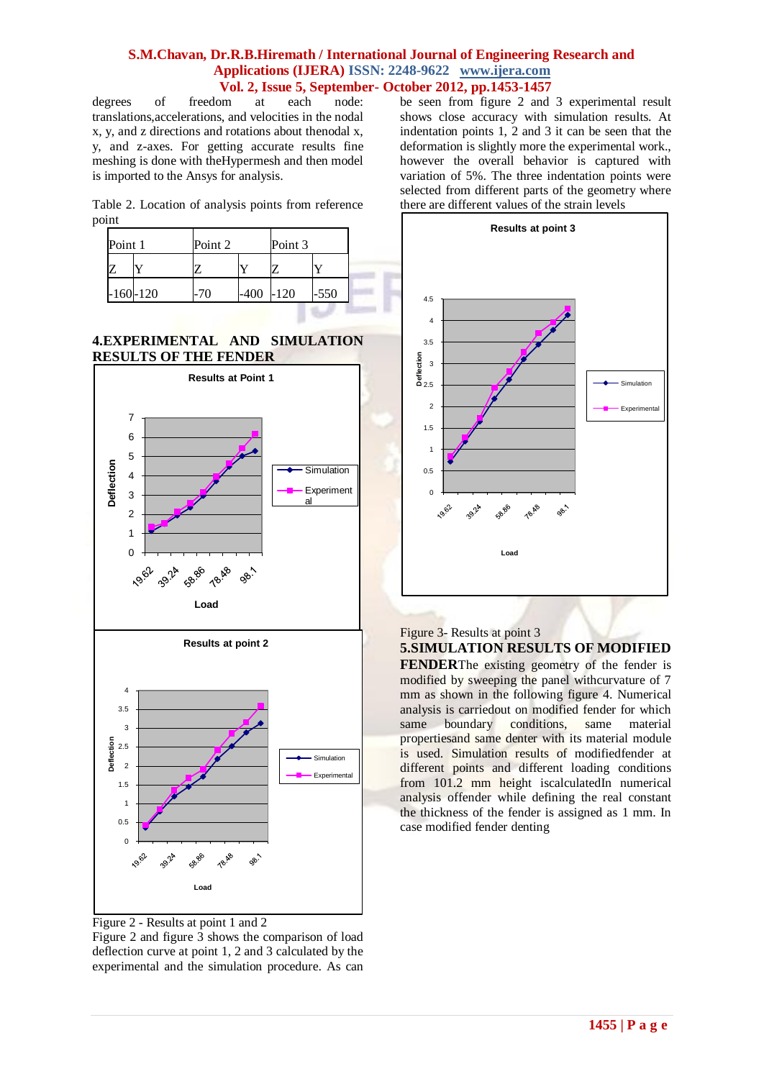degrees of freedom at each node: translations,accelerations, and velocities in the nodal x, y, and z directions and rotations about thenodal x, y, and z-axes. For getting accurate results fine meshing is done with theHypermesh and then model is imported to the Ansys for analysis.

Table 2. Location of analysis points from reference point

| Point 1 |              | Point 2 |      | Point 3 |        |
|---------|--------------|---------|------|---------|--------|
|         |              |         |      |         |        |
|         | $-160 - 120$ |         | -400 | $-120$  | $-550$ |

# **4.EXPERIMENTAL AND SIMULATION RESULTS OF THE FENDER**



Figure 2 - Results at point 1 and 2

Figure 2 and figure 3 shows the comparison of load deflection curve at point 1, 2 and 3 calculated by the experimental and the simulation procedure. As can be seen from figure 2 and 3 experimental result shows close accuracy with simulation results. At indentation points 1, 2 and 3 it can be seen that the deformation is slightly more the experimental work., however the overall behavior is captured with variation of 5%. The three indentation points were selected from different parts of the geometry where there are different values of the strain levels



## Figure 3- Results at point 3 **5.SIMULATION RESULTS OF MODIFIED FENDER**The existing geometry of the fender is modified by sweeping the panel withcurvature of 7 mm as shown in the following figure 4. Numerical analysis is carriedout on modified fender for which same boundary conditions, same material propertiesand same denter with its material module

is used. Simulation results of modifiedfender at different points and different loading conditions from 101.2 mm height iscalculatedIn numerical analysis offender while defining the real constant the thickness of the fender is assigned as 1 mm. In case modified fender denting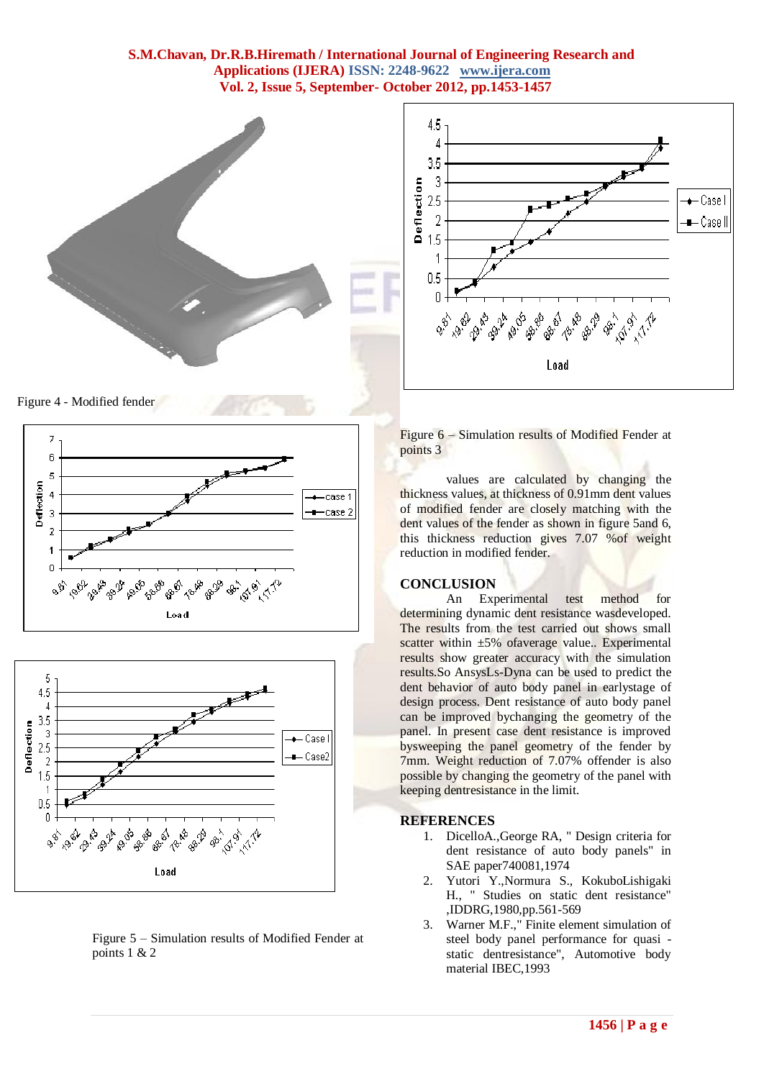



Figure 4 - Modified fender





Figure 5 – Simulation results of Modified Fender at points 1 & 2

Figure 6 – Simulation results of Modified Fender at points 3

values are calculated by changing the thickness values, at thickness of 0.91mm dent values of modified fender are closely matching with the dent values of the fender as shown in figure 5and 6, this thickness reduction gives 7.07 %of weight reduction in modified fender.

#### **CONCLUSION**

An Experimental test method for determining dynamic dent resistance wasdeveloped. The results from the test carried out shows small scatter within  $\pm 5\%$  of average value.. Experimental results show greater accuracy with the simulation results.So AnsysLs-Dyna can be used to predict the dent behavior of auto body panel in earlystage of design process. Dent resistance of auto body panel can be improved bychanging the geometry of the panel. In present case dent resistance is improved bysweeping the panel geometry of the fender by 7mm. Weight reduction of 7.07% offender is also possible by changing the geometry of the panel with keeping dentresistance in the limit.

#### **REFERENCES**

- 1. DicelloA.,George RA, " Design criteria for dent resistance of auto body panels" in SAE paper740081,1974
- 2. Yutori Y.,Normura S., KokuboLishigaki H., " Studies on static dent resistance" ,IDDRG,1980,pp.561-569
- 3. Warner M.F.," Finite element simulation of steel body panel performance for quasi static dentresistance", Automotive body material IBEC,1993